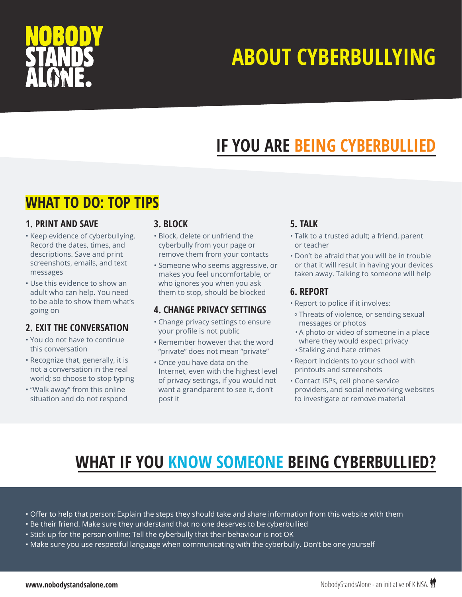

## **ABOUT CYBERBULLYING**

## **IF YOU ARE BEING CYBERBULLIED**

### **WHAT TO DO: TOP TIPS**

### **1. PRINT AND SAVE**

- Keep evidence of cyberbullying. Record the dates, times, and descriptions. Save and print screenshots, emails, and text messages
- Use this evidence to show an adult who can help. You need to be able to show them what's going on

### **2. EXIT THE CONVERSATION**

- You do not have to continue this conversation
- Recognize that, generally, it is not a conversation in the real world; so choose to stop typing
- "Walk away" from this online situation and do not respond

#### **3. BLOCK**

- Block, delete or unfriend the cyberbully from your page or remove them from your contacts
- Someone who seems aggressive, or makes you feel uncomfortable, or who ignores you when you ask them to stop, should be blocked

### **4. CHANGE PRIVACY SETTINGS**

- Change privacy settings to ensure your profile is not public
- Remember however that the word "private" does not mean "private"
- Once you have data on the Internet, even with the highest level of privacy settings, if you would not want a grandparent to see it, don't post it

### **5. TALK**

- Talk to a trusted adult; a friend, parent or teacher
- Don't be afraid that you will be in trouble or that it will result in having your devices taken away. Talking to someone will help

### **6. REPORT**

- Report to police if it involves:
- º Threats of violence, or sending sexual messages or photos
- º A photo or video of someone in a place where they would expect privacy º Stalking and hate crimes
- Report incidents to your school with printouts and screenshots
- Contact ISPs, cell phone service providers, and social networking websites to investigate or remove material

### **WHAT IF YOU KNOW SOMEONE BEING CYBERBULLIED?**

- Offer to help that person; Explain the steps they should take and share information from this website with them
- Be their friend. Make sure they understand that no one deserves to be cyberbullied
- Stick up for the person online; Tell the cyberbully that their behaviour is not OK
- Make sure you use respectful language when communicating with the cyberbully. Don't be one yourself